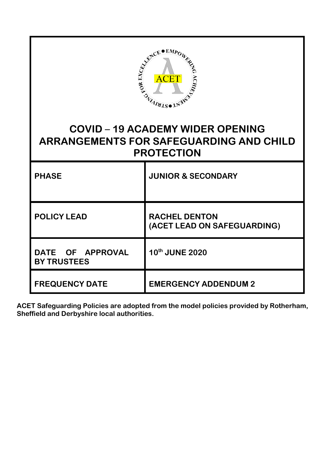| ACET ACET ASSESSMENT PROPERTY<br><b>COVID-19 ACADEMY WIDER OPENING</b> |                                                     |
|------------------------------------------------------------------------|-----------------------------------------------------|
| <b>ARRANGEMENTS FOR SAFEGUARDING AND CHILD</b><br><b>PROTECTION</b>    |                                                     |
| <b>PHASE</b>                                                           | <b>JUNIOR &amp; SECONDARY</b>                       |
| <b>POLICY LEAD</b>                                                     | <b>RACHEL DENTON</b><br>(ACET LEAD ON SAFEGUARDING) |
| DATE OF APPROVAL<br><b>BY TRUSTEES</b>                                 | 10th JUNE 2020                                      |
| <b>FREQUENCY DATE</b>                                                  | <b>EMERGENCY ADDENDUM 2</b>                         |

**ACET Safeguarding Policies are adopted from the model policies provided by Rotherham, Sheffield and Derbyshire local authorities.**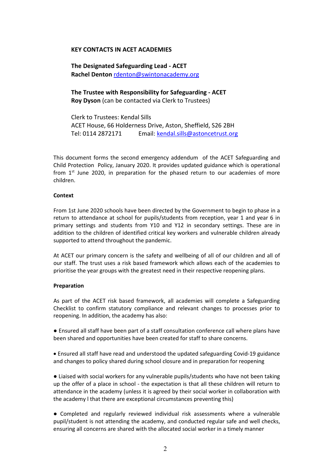## **KEY CONTACTS IN ACET ACADEMIES**

**The Designated Safeguarding Lead - ACET Rachel Denton** rdenton@swintonacademy.org

**The Trustee with Responsibility for Safeguarding - ACET Roy Dyson** (can be contacted via Clerk to Trustees)

Clerk to Trustees: Kendal Sills ACET House, 66 Holderness Drive, Aston, Sheffield, S26 2BH Tel: 0114 2872171 Email: [kendal.sills@astoncetrust.org](mailto:kendal.sills@astoncetrust.org) 

This document forms the second emergency addendum of the ACET Safeguarding and Child Protection Policy, January 2020. It provides updated guidance which is operational from  $1<sup>st</sup>$  June 2020, in preparation for the phased return to our academies of more children.

## **Context**

From 1st June 2020 schools have been directed by the Government to begin to phase in a return to attendance at school for pupils/students from reception, year 1 and year 6 in primary settings and students from Y10 and Y12 in secondary settings. These are in addition to the children of identified critical key workers and vulnerable children already supported to attend throughout the pandemic.

At ACET our primary concern is the safety and wellbeing of all of our children and all of our staff. The trust uses a risk based framework which allows each of the academies to prioritise the year groups with the greatest need in their respective reopening plans.

## **Preparation**

As part of the ACET risk based framework, all academies will complete a Safeguarding Checklist to confirm statutory compliance and relevant changes to processes prior to reopening. In addition, the academy has also:

● Ensured all staff have been part of a staff consultation conference call where plans have been shared and opportunities have been created for staff to share concerns.

• Ensured all staff have read and understood the updated safeguarding Covid-19 guidance and changes to policy shared during school closure and in preparation for reopening

● Liaised with social workers for any vulnerable pupils/students who have not been taking up the offer of a place in school - the expectation is that all these children will return to attendance in the academy (unless it is agreed by their social worker in collaboration with the academy l that there are exceptional circumstances preventing this)

● Completed and regularly reviewed individual risk assessments where a vulnerable pupil/student is not attending the academy, and conducted regular safe and well checks, ensuring all concerns are shared with the allocated social worker in a timely manner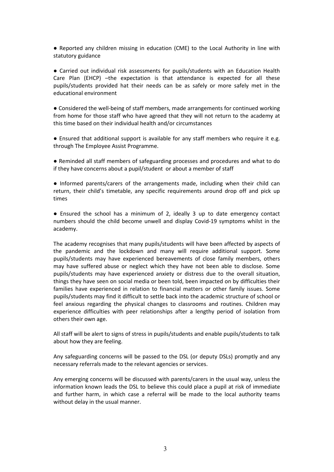● Reported any children missing in education (CME) to the Local Authority in line with statutory guidance

● Carried out individual risk assessments for pupils/students with an Education Health Care Plan (EHCP) –the expectation is that attendance is expected for all these pupils/students provided hat their needs can be as safely or more safely met in the educational environment

● Considered the well-being of staff members, made arrangements for continued working from home for those staff who have agreed that they will not return to the academy at this time based on their individual health and/or circumstances

● Ensured that additional support is available for any staff members who require it e.g. through The Employee Assist Programme.

● Reminded all staff members of safeguarding processes and procedures and what to do if they have concerns about a pupil/student or about a member of staff

● Informed parents/carers of the arrangements made, including when their child can return, their child's timetable, any specific requirements around drop off and pick up times

● Ensured the school has a minimum of 2, ideally 3 up to date emergency contact numbers should the child become unwell and display Covid-19 symptoms whilst in the academy.

The academy recognises that many pupils/students will have been affected by aspects of the pandemic and the lockdown and many will require additional support. Some pupils/students may have experienced bereavements of close family members, others may have suffered abuse or neglect which they have not been able to disclose. Some pupils/students may have experienced anxiety or distress due to the overall situation, things they have seen on social media or been told, been impacted on by difficulties their families have experienced in relation to financial matters or other family issues. Some pupils/students may find it difficult to settle back into the academic structure of school or feel anxious regarding the physical changes to classrooms and routines. Children may experience difficulties with peer relationships after a lengthy period of isolation from others their own age.

All staff will be alert to signs of stress in pupils/students and enable pupils/students to talk about how they are feeling.

Any safeguarding concerns will be passed to the DSL (or deputy DSLs) promptly and any necessary referrals made to the relevant agencies or services.

Any emerging concerns will be discussed with parents/carers in the usual way, unless the information known leads the DSL to believe this could place a pupil at risk of immediate and further harm, in which case a referral will be made to the local authority teams without delay in the usual manner.